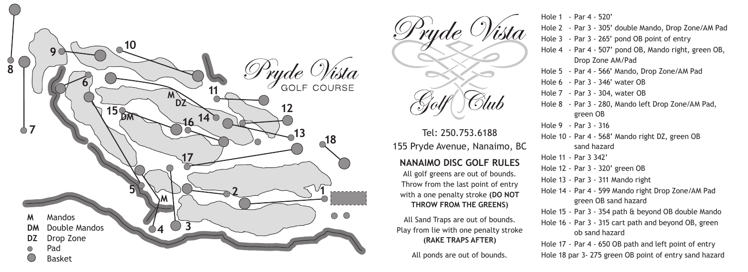



Tel: 250.753.6188 155 Pryde Avenue, Nanaimo, BC

## **17 NANAIMO DISC GOLF RULES**

All golf greens are out of bounds. Throw from the last point of entry with a one penalty stroke **(DO NOT THROW FROM THE GREENS)**

All Sand Traps are out of bounds. Play from lie with one penalty stroke **(RAKE TRAPS AFTER)**

All ponds are out of bounds.

Hole 1 - Par 4 - 520'

- Hole 2 Par 3 305' double Mando, Drop Zone/AM Pad
- Hole 3 Par 3 265' pond OB point of entry
- Hole 4 Par 4 507' pond OB, Mando right, green OB, Drop Zone A M/Pad
- Hole 5 Par 4 566' Mando, Drop Zone/AM Pad
- Hole 6 Par 3 346' water OB
- Hole 7 Par 3 304, water OB
- Hole 8 Par 3 280, Mando left Drop Zone/AM Pad, green OB
- Hole 9 Par 3 316
- Hole 10 Par 4 568' Mando right DZ, green OB sand hazard
- Hole 11 Par 3 342'
- Hole 12 Par 3 320' green OB
- Hole 13 Par 3 311 Mando right
- Hole 14 Par 4 599 Mando right Drop Zone/AM Pad green OB sand hazard
- Hole 15 Par 3 354 path & beyond OB double Mando
- Hole 16 Par 3 315 cart path and beyond OB, green ob sand hazard
- Hole 17 Par 4 650 OB path and left point of entry Hole 18 par 3- 275 green OB point of entry sand hazard